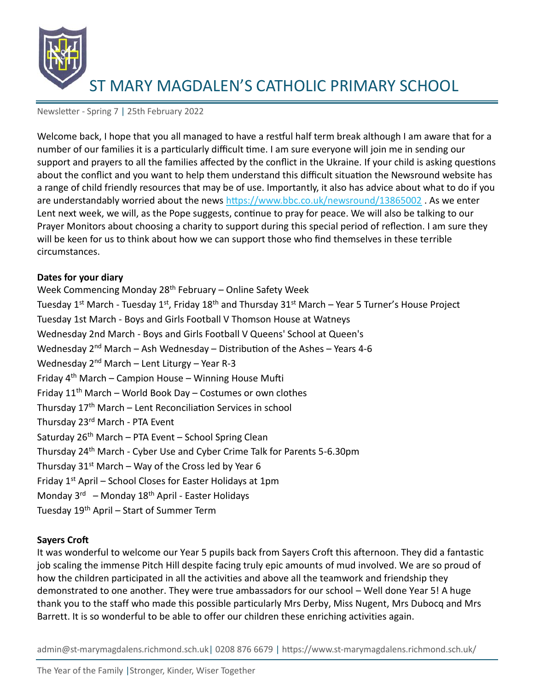

Newsletter - Spring 7 | 25th February 2022

Welcome back, I hope that you all managed to have a restful half term break although I am aware that for a number of our families it is a particularly difficult time. I am sure everyone will join me in sending our support and prayers to all the families affected by the conflict in the Ukraine. If your child is asking questions about the conflict and you want to help them understand this difficult situation the Newsround website has a range of child friendly resources that may be of use. Importantly, it also has advice about what to do if you are understandably worried about the news<https://www.bbc.co.uk/newsround/13865002>. As we enter Lent next week, we will, as the Pope suggests, continue to pray for peace. We will also be talking to our Prayer Monitors about choosing a charity to support during this special period of reflection. I am sure they will be keen for us to think about how we can support those who find themselves in these terrible circumstances.

## **Dates for your diary**

Week Commencing Monday 28<sup>th</sup> February – Online Safety Week Tuesday 1<sup>st</sup> March - Tuesday 1<sup>st</sup>, Friday 18<sup>th</sup> and Thursday 31<sup>st</sup> March – Year 5 Turner's House Project Tuesday 1st March - Boys and Girls Football V Thomson House at Watneys Wednesday 2nd March - Boys and Girls Football V Queens' School at Queen's Wednesday  $2^{nd}$  March – Ash Wednesday – Distribution of the Ashes – Years 4-6 Wednesday  $2^{nd}$  March – Lent Liturgy – Year R-3 Friday 4th March – Campion House – Winning House Mufti Friday  $11^{th}$  March – World Book Day – Costumes or own clothes Thursday 17<sup>th</sup> March – Lent Reconciliation Services in school Thursday 23rd March - PTA Event Saturday  $26<sup>th</sup>$  March – PTA Event – School Spring Clean Thursday 24th March - Cyber Use and Cyber Crime Talk for Parents 5-6.30pm Thursday  $31^{st}$  March – Way of the Cross led by Year 6 Friday  $1<sup>st</sup>$  April – School Closes for Easter Holidays at 1pm Monday 3<sup>rd</sup> – Monday 18<sup>th</sup> April - Easter Holidays Tuesday 19th April – Start of Summer Term

# **Sayers Croft**

It was wonderful to welcome our Year 5 pupils back from Sayers Croft this afternoon. They did a fantastic job scaling the immense Pitch Hill despite facing truly epic amounts of mud involved. We are so proud of how the children participated in all the activities and above all the teamwork and friendship they demonstrated to one another. They were true ambassadors for our school – Well done Year 5! A huge thank you to the staff who made this possible particularly Mrs Derby, Miss Nugent, Mrs Dubocq and Mrs Barrett. It is so wonderful to be able to offer our children these enriching activities again.

admin@st-marymagdalens.richmond.sch.uk| 0208 876 6679 | https://www.st-marymagdalens.richmond.sch.uk/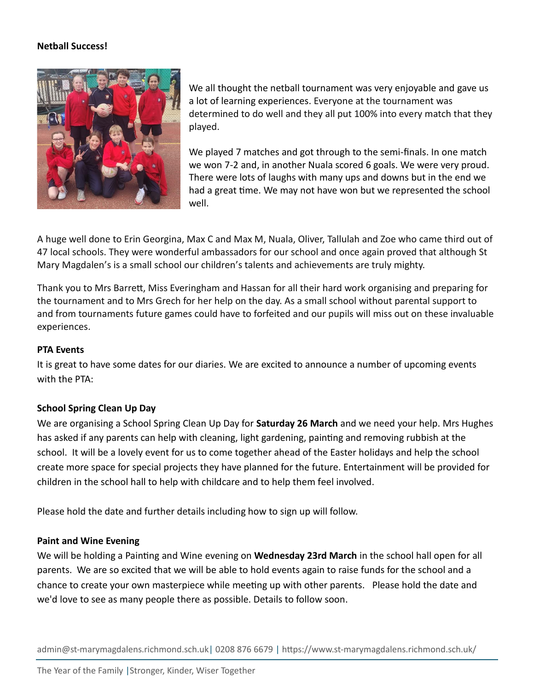## **Netball Success!**



We all thought the netball tournament was very enjoyable and gave us a lot of learning experiences. Everyone at the tournament was determined to do well and they all put 100% into every match that they played.

We played 7 matches and got through to the semi-finals. In one match we won 7-2 and, in another Nuala scored 6 goals. We were very proud. There were lots of laughs with many ups and downs but in the end we had a great time. We may not have won but we represented the school well.

A huge well done to Erin Georgina, Max C and Max M, Nuala, Oliver, Tallulah and Zoe who came third out of 47 local schools. They were wonderful ambassadors for our school and once again proved that although St Mary Magdalen's is a small school our children's talents and achievements are truly mighty.

Thank you to Mrs Barrett, Miss Everingham and Hassan for all their hard work organising and preparing for the tournament and to Mrs Grech for her help on the day. As a small school without parental support to and from tournaments future games could have to forfeited and our pupils will miss out on these invaluable experiences.

## **PTA Events**

It is great to have some dates for our diaries. We are excited to announce a number of upcoming events with the PTA:

# **School Spring Clean Up Day**

We are organising a School Spring Clean Up Day for **Saturday 26 March** and we need your help. Mrs Hughes has asked if any parents can help with cleaning, light gardening, painting and removing rubbish at the school. It will be a lovely event for us to come together ahead of the Easter holidays and help the school create more space for special projects they have planned for the future. Entertainment will be provided for children in the school hall to help with childcare and to help them feel involved.

Please hold the date and further details including how to sign up will follow.

#### **Paint and Wine Evening**

We will be holding a Painting and Wine evening on **Wednesday 23rd March** in the school hall open for all parents. We are so excited that we will be able to hold events again to raise funds for the school and a chance to create your own masterpiece while meeting up with other parents. Please hold the date and we'd love to see as many people there as possible. Details to follow soon.

admin@st-marymagdalens.richmond.sch.uk| 0208 876 6679 | https://www.st-marymagdalens.richmond.sch.uk/